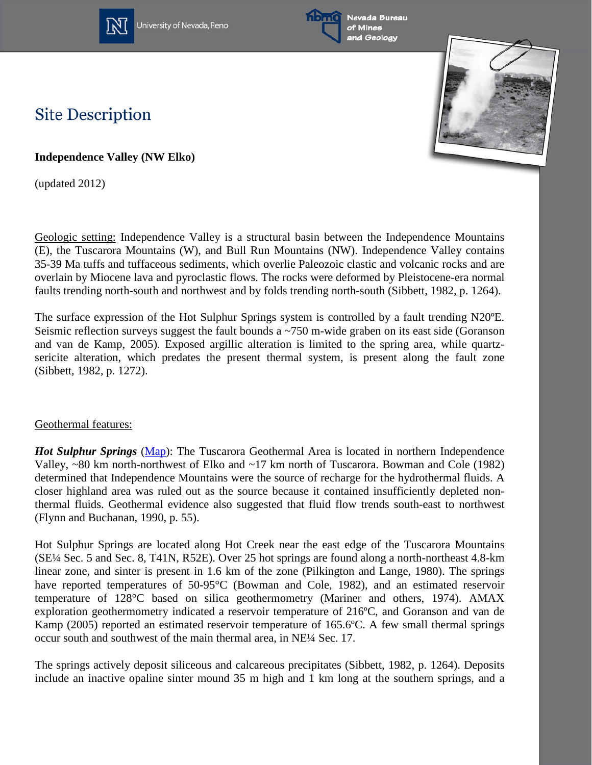

University of Nevada, Reno





## **Site Description**

**Independence Valley (NW Elko)**

(updated 2012)

Geologic setting: Independence Valley is a structural basin between the Independence Mountains (E), the Tuscarora Mountains (W), and Bull Run Mountains (NW). Independence Valley contains 35-39 Ma tuffs and tuffaceous sediments, which overlie Paleozoic clastic and volcanic rocks and are overlain by Miocene lava and pyroclastic flows. The rocks were deformed by Pleistocene-era normal faults trending north-south and northwest and by folds trending north-south (Sibbett, 1982, p. 1264).

The surface expression of the Hot Sulphur Springs system is controlled by a fault trending N20ºE. Seismic reflection surveys suggest the fault bounds a ~750 m-wide graben on its east side (Goranson and van de Kamp, 2005). Exposed argillic alteration is limited to the spring area, while quartzsericite alteration, which predates the present thermal system, is present along the fault zone (Sibbett, 1982, p. 1272).

## Geothermal features:

*Hot Sulphur Springs* [\(Map\)](http://www.nbmg.unr.edu/geothermal/detailedmaps/Hot%20Sulphur%20Springs.pdf): The Tuscarora Geothermal Area is located in northern Independence Valley, ~80 km north-northwest of Elko and ~17 km north of Tuscarora. Bowman and Cole (1982) determined that Independence Mountains were the source of recharge for the hydrothermal fluids. A closer highland area was ruled out as the source because it contained insufficiently depleted nonthermal fluids. Geothermal evidence also suggested that fluid flow trends south-east to northwest (Flynn and Buchanan, 1990, p. 55).

Hot Sulphur Springs are located along Hot Creek near the east edge of the Tuscarora Mountains (SE¼ Sec. 5 and Sec. 8, T41N, R52E). Over 25 hot springs are found along a north-northeast 4.8-km linear zone, and sinter is present in 1.6 km of the zone (Pilkington and Lange, 1980). The springs have reported temperatures of 50-95°C (Bowman and Cole, 1982), and an estimated reservoir temperature of 128°C based on silica geothermometry (Mariner and others, 1974). AMAX exploration geothermometry indicated a reservoir temperature of 216ºC, and Goranson and van de Kamp (2005) reported an estimated reservoir temperature of 165.6ºC. A few small thermal springs occur south and southwest of the main thermal area, in NE¼ Sec. 17.

The springs actively deposit siliceous and calcareous precipitates (Sibbett, 1982, p. 1264). Deposits include an inactive opaline sinter mound 35 m high and 1 km long at the southern springs, and a